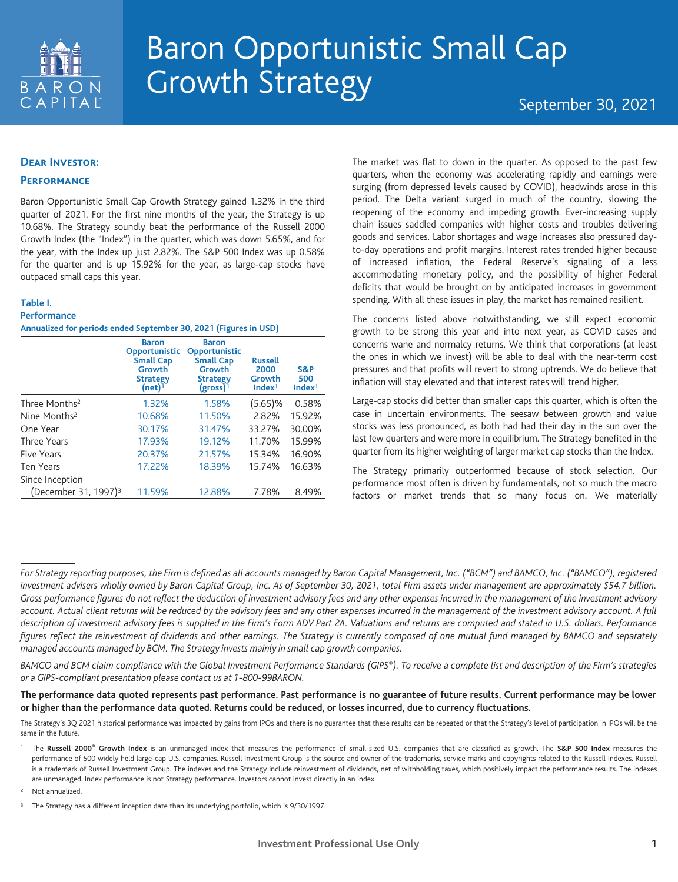

# Baron Opportunistic Small Cap Growth Strategy September 30, 2021

### **Dear Investor:**

## **Performance**

Baron Opportunistic Small Cap Growth Strategy gained 1.32% in the third quarter of 2021. For the first nine months of the year, the Strategy is up 10.68%. The Strategy soundly beat the performance of the Russell 2000 Growth Index (the "Index") in the quarter, which was down 5.65%, and for the year, with the Index up just 2.82%. The S&P 500 Index was up 0.58% for the quarter and is up 15.92% for the year, as large-cap stocks have outpaced small caps this year.

#### **Table I.**

#### **Performance Annualized for periods ended September 30, 2021 (Figures in USD)**

|                                  | <b>Baron</b><br>Opportunistic<br><b>Small Cap</b><br>Growth<br><b>Strategy</b><br>$(net)^1$ | <b>Baron</b><br>Opportunistic<br><b>Small Cap</b><br><b>Growth</b><br><b>Strategy</b><br>$(gross)^1$ | <b>Russell</b><br>2000<br>Growth<br>Index <sup>1</sup> | S&P<br>500<br>Index <sup>1</sup> |
|----------------------------------|---------------------------------------------------------------------------------------------|------------------------------------------------------------------------------------------------------|--------------------------------------------------------|----------------------------------|
| Three Months <sup>2</sup>        | 1.32%                                                                                       | 1.58%                                                                                                | $(5.65)$ %                                             | 0.58%                            |
| Nine Months <sup>2</sup>         | 10.68%                                                                                      | 11.50%                                                                                               | 2.82%                                                  | 15.92%                           |
| One Year                         | 30.17%                                                                                      | 31.47%                                                                                               | 33.27%                                                 | 30.00%                           |
| Three Years                      | 17.93%                                                                                      | 19.12%                                                                                               | 11.70%                                                 | 15.99%                           |
| Five Years                       | 20.37%                                                                                      | 21.57%                                                                                               | 15.34%                                                 | 16.90%                           |
| Ten Years                        | 17.22%                                                                                      | 18.39%                                                                                               | 15.74%                                                 | 16.63%                           |
| Since Inception                  |                                                                                             |                                                                                                      |                                                        |                                  |
| (December 31, 1997) <sup>3</sup> | 11.59%                                                                                      | 12.88%                                                                                               | 7.78%                                                  | 8.49%                            |

The market was flat to down in the quarter. As opposed to the past few quarters, when the economy was accelerating rapidly and earnings were surging (from depressed levels caused by COVID), headwinds arose in this period. The Delta variant surged in much of the country, slowing the reopening of the economy and impeding growth. Ever-increasing supply chain issues saddled companies with higher costs and troubles delivering goods and services. Labor shortages and wage increases also pressured dayto-day operations and profit margins. Interest rates trended higher because of increased inflation, the Federal Reserve's signaling of a less accommodating monetary policy, and the possibility of higher Federal deficits that would be brought on by anticipated increases in government spending. With all these issues in play, the market has remained resilient.

The concerns listed above notwithstanding, we still expect economic growth to be strong this year and into next year, as COVID cases and concerns wane and normalcy returns. We think that corporations (at least the ones in which we invest) will be able to deal with the near-term cost pressures and that profits will revert to strong uptrends. We do believe that inflation will stay elevated and that interest rates will trend higher.

Large-cap stocks did better than smaller caps this quarter, which is often the case in uncertain environments. The seesaw between growth and value stocks was less pronounced, as both had had their day in the sun over the last few quarters and were more in equilibrium. The Strategy benefited in the quarter from its higher weighting of larger market cap stocks than the Index.

The Strategy primarily outperformed because of stock selection. Our performance most often is driven by fundamentals, not so much the macro factors or market trends that so many focus on. We materially

<sup>2</sup> Not annualized.

*For Strategy reporting purposes, the Firm is defined as all accounts managed by Baron Capital Management, Inc. ("BCM") and BAMCO, Inc. ("BAMCO"), registered investment advisers wholly owned by Baron Capital Group, Inc. As of September 30, 2021, total Firm assets under management are approximately \$54.7 billion. Gross performance figures do not reflect the deduction of investment advisory fees and any other expenses incurred in the management of the investment advisory account. Actual client returns will be reduced by the advisory fees and any other expenses incurred in the management of the investment advisory account. A full description of investment advisory fees is supplied in the Firm's Form ADV Part 2A. Valuations and returns are computed and stated in U.S. dollars. Performance figures reflect the reinvestment of dividends and other earnings. The Strategy is currently composed of one mutual fund managed by BAMCO and separately managed accounts managed by BCM. The Strategy invests mainly in small cap growth companies.*

*BAMCO and BCM claim compliance with the Global Investment Performance Standards (GIPS®). To receive a complete list and description of the Firm's strategies or a GIPS-compliant presentation please contact us at 1-800-99BARON.*

**The performance data quoted represents past performance. Past performance is no guarantee of future results. Current performance may be lower or higher than the performance data quoted. Returns could be reduced, or losses incurred, due to currency fluctuations.**

The Strategy's 3Q 2021 historical performance was impacted by gains from IPOs and there is no guarantee that these results can be repeated or that the Strategy's level of participation in IPOs will be the same in the future.

<sup>1</sup> The **Russell 2000® Growth Index** is an unmanaged index that measures the performance of small-sized U.S. companies that are classified as growth. The **S&P 500 Index** measures the performance of 500 widely held large-cap U.S. companies. Russell Investment Group is the source and owner of the trademarks, service marks and copyrights related to the Russell Indexes. Russell is a trademark of Russell Investment Group. The indexes and the Strategy include reinvestment of dividends, net of withholding taxes, which positively impact the performance results. The indexes are unmanaged. Index performance is not Strategy performance. Investors cannot invest directly in an index.

<sup>&</sup>lt;sup>3</sup> The Strategy has a different inception date than its underlying portfolio, which is 9/30/1997.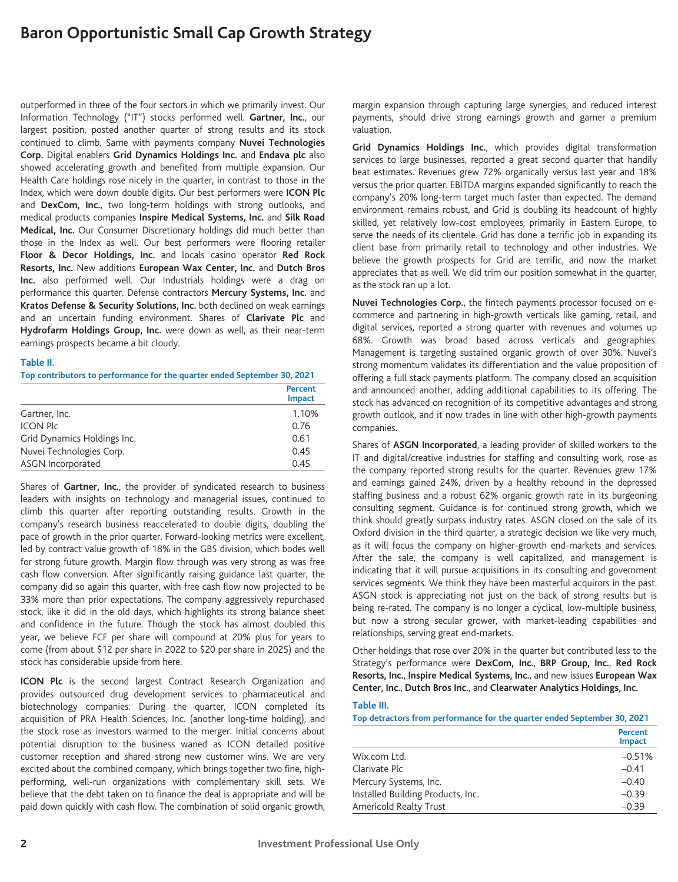outperformed in three of the four sectors in which we primarily invest. Our Information Technology ("IT") stocks performed well. **Gartner, Inc.**, our largest position, posted another quarter of strong results and its stock continued to climb. Same with payments company **Nuvei Technologies Corp.** Digital enablers **Grid Dynamics Holdings Inc.** and **Endava plc** also showed accelerating growth and benefited from multiple expansion. Our Health Care holdings rose nicely in the quarter, in contrast to those in the Index, which were down double digits. Our best performers were **ICON Plc** and **DexCom, Inc.**, two long-term holdings with strong outlooks, and medical products companies **Inspire Medical Systems, Inc.** and **Silk Road Medical, Inc.** Our Consumer Discretionary holdings did much better than those in the Index as well. Our best performers were flooring retailer **Floor & Decor Holdings, Inc.** and locals casino operator **Red Rock Resorts, Inc.** New additions **European Wax Center, Inc.** and **Dutch Bros Inc.** also performed well. Our Industrials holdings were a drag on performance this quarter. Defense contractors **Mercury Systems, Inc.** and **Kratos Defense & Security Solutions, Inc.** both declined on weak earnings and an uncertain funding environment. Shares of **Clarivate Plc** and **Hydrofarm Holdings Group, Inc.** were down as well, as their near-term earnings prospects became a bit cloudy.

#### **Table II.**

**Top contributors to performance for the quarter ended September 30, 2021**

|                             | Percent<br><b>Impact</b> |
|-----------------------------|--------------------------|
| Gartner, Inc.               | 1.10%                    |
| <b>ICON Plc</b>             | 0.76                     |
| Grid Dynamics Holdings Inc. | 0.61                     |
| Nuvei Technologies Corp.    | 0.45                     |
| ASGN Incorporated           | 0.45                     |

Shares of **Gartner, Inc.**, the provider of syndicated research to business leaders with insights on technology and managerial issues, continued to climb this quarter after reporting outstanding results. Growth in the company's research business reaccelerated to double digits, doubling the pace of growth in the prior quarter. Forward-looking metrics were excellent, led by contract value growth of 18% in the GBS division, which bodes well for strong future growth. Margin flow through was very strong as was free cash flow conversion. After significantly raising guidance last quarter, the company did so again this quarter, with free cash flow now projected to be 33% more than prior expectations. The company aggressively repurchased stock, like it did in the old days, which highlights its strong balance sheet and confidence in the future. Though the stock has almost doubled this year, we believe FCF per share will compound at 20% plus for years to come (from about \$12 per share in 2022 to \$20 per share in 2025) and the stock has considerable upside from here.

**ICON Plc** is the second largest Contract Research Organization and provides outsourced drug development services to pharmaceutical and biotechnology companies. During the quarter, ICON completed its acquisition of PRA Health Sciences, Inc. (another long-time holding), and the stock rose as investors warmed to the merger. Initial concerns about potential disruption to the business waned as ICON detailed positive customer reception and shared strong new customer wins. We are very excited about the combined company, which brings together two fine, highperforming, well-run organizations with complementary skill sets. We believe that the debt taken on to finance the deal is appropriate and will be paid down quickly with cash flow. The combination of solid organic growth,

margin expansion through capturing large synergies, and reduced interest payments, should drive strong earnings growth and garner a premium valuation.

**Grid Dynamics Holdings Inc.**, which provides digital transformation services to large businesses, reported a great second quarter that handily beat estimates. Revenues grew 72% organically versus last year and 18% versus the prior quarter. EBITDA margins expanded significantly to reach the company's 20% long-term target much faster than expected. The demand environment remains robust, and Grid is doubling its headcount of highly skilled, yet relatively low-cost employees, primarily in Eastern Europe, to serve the needs of its clientele. Grid has done a terrific job in expanding its client base from primarily retail to technology and other industries. We believe the growth prospects for Grid are terrific, and now the market appreciates that as well. We did trim our position somewhat in the quarter, as the stock ran up a lot.

**Nuvei Technologies Corp.**, the fintech payments processor focused on ecommerce and partnering in high-growth verticals like gaming, retail, and digital services, reported a strong quarter with revenues and volumes up 68%. Growth was broad based across verticals and geographies. Management is targeting sustained organic growth of over 30%. Nuvei's strong momentum validates its differentiation and the value proposition of offering a full stack payments platform. The company closed an acquisition and announced another, adding additional capabilities to its offering. The stock has advanced on recognition of its competitive advantages and strong growth outlook, and it now trades in line with other high-growth payments companies.

Shares of **ASGN Incorporated**, a leading provider of skilled workers to the IT and digital/creative industries for staffing and consulting work, rose as the company reported strong results for the quarter. Revenues grew 17% and earnings gained 24%, driven by a healthy rebound in the depressed staffing business and a robust 62% organic growth rate in its burgeoning consulting segment. Guidance is for continued strong growth, which we think should greatly surpass industry rates. ASGN closed on the sale of its Oxford division in the third quarter, a strategic decision we like very much, as it will focus the company on higher-growth end-markets and services. After the sale, the company is well capitalized, and management is indicating that it will pursue acquisitions in its consulting and government services segments. We think they have been masterful acquirors in the past. ASGN stock is appreciating not just on the back of strong results but is being re-rated. The company is no longer a cyclical, low-multiple business, but now a strong secular grower, with market-leading capabilities and relationships, serving great end-markets.

Other holdings that rose over 20% in the quarter but contributed less to the Strategy's performance were **DexCom, Inc.**, **BRP Group, Inc.**, **Red Rock Resorts, Inc.**, **Inspire Medical Systems, Inc.**, and new issues **European Wax Center, Inc.**, **Dutch Bros Inc.**, and **Clearwater Analytics Holdings, Inc.**

#### **Table III.**

| Top detractors from performance for the quarter ended September 30, 2021 |                          |  |
|--------------------------------------------------------------------------|--------------------------|--|
|                                                                          | Percent<br><b>Impact</b> |  |
| Wix.com Ltd.                                                             | $-0.51%$                 |  |
| Clarivate Plc                                                            | $-0.41$                  |  |
| Mercury Systems, Inc.                                                    | $-0.40$                  |  |
| Installed Building Products, Inc.                                        | $-0.39$                  |  |
| Americold Realty Trust                                                   | $-0.39$                  |  |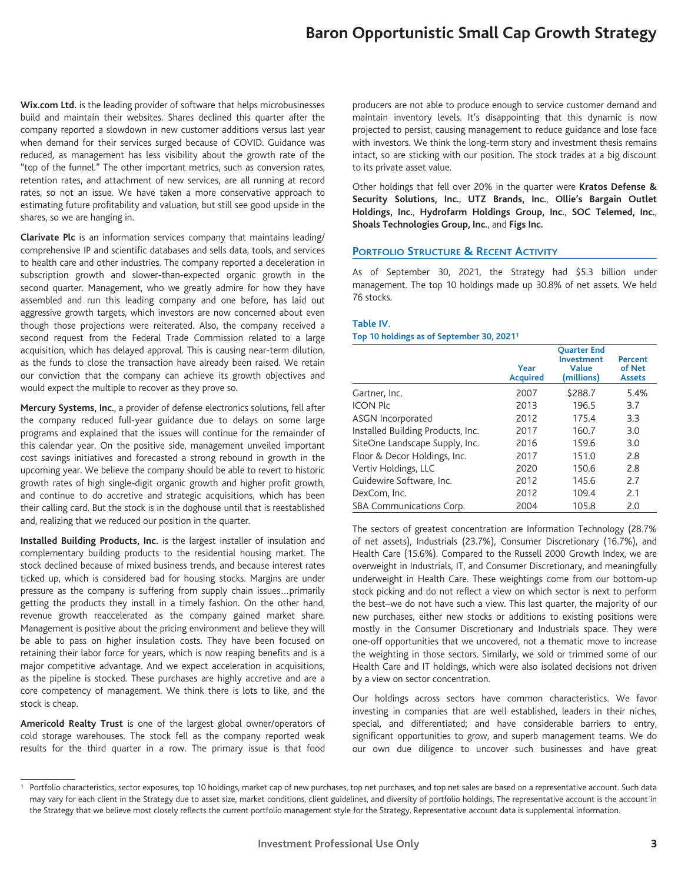**Wix.com Ltd.** is the leading provider of software that helps microbusinesses build and maintain their websites. Shares declined this quarter after the company reported a slowdown in new customer additions versus last year when demand for their services surged because of COVID. Guidance was reduced, as management has less visibility about the growth rate of the "top of the funnel." The other important metrics, such as conversion rates, retention rates, and attachment of new services, are all running at record rates, so not an issue. We have taken a more conservative approach to estimating future profitability and valuation, but still see good upside in the shares, so we are hanging in.

**Clarivate Plc** is an information services company that maintains leading/ comprehensive IP and scientific databases and sells data, tools, and services to health care and other industries. The company reported a deceleration in subscription growth and slower-than-expected organic growth in the second quarter. Management, who we greatly admire for how they have assembled and run this leading company and one before, has laid out aggressive growth targets, which investors are now concerned about even though those projections were reiterated. Also, the company received a second request from the Federal Trade Commission related to a large acquisition, which has delayed approval. This is causing near-term dilution, as the funds to close the transaction have already been raised. We retain our conviction that the company can achieve its growth objectives and would expect the multiple to recover as they prove so.

**Mercury Systems, Inc.**, a provider of defense electronics solutions, fell after the company reduced full-year guidance due to delays on some large programs and explained that the issues will continue for the remainder of this calendar year. On the positive side, management unveiled important cost savings initiatives and forecasted a strong rebound in growth in the upcoming year. We believe the company should be able to revert to historic growth rates of high single-digit organic growth and higher profit growth, and continue to do accretive and strategic acquisitions, which has been their calling card. But the stock is in the doghouse until that is reestablished and, realizing that we reduced our position in the quarter.

**Installed Building Products, Inc.** is the largest installer of insulation and complementary building products to the residential housing market. The stock declined because of mixed business trends, and because interest rates ticked up, which is considered bad for housing stocks. Margins are under pressure as the company is suffering from supply chain issues…primarily getting the products they install in a timely fashion. On the other hand, revenue growth reaccelerated as the company gained market share. Management is positive about the pricing environment and believe they will be able to pass on higher insulation costs. They have been focused on retaining their labor force for years, which is now reaping benefits and is a major competitive advantage. And we expect acceleration in acquisitions, as the pipeline is stocked. These purchases are highly accretive and are a core competency of management. We think there is lots to like, and the stock is cheap.

**Americold Realty Trust** is one of the largest global owner/operators of cold storage warehouses. The stock fell as the company reported weak results for the third quarter in a row. The primary issue is that food

producers are not able to produce enough to service customer demand and maintain inventory levels. It's disappointing that this dynamic is now projected to persist, causing management to reduce guidance and lose face with investors. We think the long-term story and investment thesis remains intact, so are sticking with our position. The stock trades at a big discount to its private asset value.

Other holdings that fell over 20% in the quarter were **Kratos Defense & Security Solutions, Inc.**, **UTZ Brands, Inc.**, **Ollie's Bargain Outlet Holdings, Inc.**, **Hydrofarm Holdings Group, Inc.**, **SOC Telemed, Inc.**, **Shoals Technologies Group, Inc.**, and **Figs Inc.**

## **PORTFOLIO STRUCTURE & RECENT ACTIVITY**

As of September 30, 2021, the Strategy had \$5.3 billion under management. The top 10 holdings made up 30.8% of net assets. We held 76 stocks.

#### **Table IV.**

#### **Top 10 holdings as of September 30, 20211**

|                                   | Year<br><b>Acquired</b> | <b>Ouarter End</b><br><b>Investment</b><br><b>Value</b><br>(millions) | Percent<br>of Net<br><b>Assets</b> |
|-----------------------------------|-------------------------|-----------------------------------------------------------------------|------------------------------------|
| Gartner, Inc.                     | 2007                    | \$288.7                                                               | 5.4%                               |
| <b>ICON Plc</b>                   | 2013                    | 196.5                                                                 | 3.7                                |
| <b>ASGN Incorporated</b>          | 2012                    | 175.4                                                                 | 3.3                                |
| Installed Building Products, Inc. | 2017                    | 160.7                                                                 | 3.0                                |
| SiteOne Landscape Supply, Inc.    | 2016                    | 159.6                                                                 | 3.0                                |
| Floor & Decor Holdings, Inc.      | 2017                    | 151.0                                                                 | 2.8                                |
| Vertiv Holdings, LLC              | 2020                    | 150.6                                                                 | 2.8                                |
| Guidewire Software, Inc.          | 2012                    | 145.6                                                                 | 2.7                                |
| DexCom, Inc.                      | 2012                    | 109.4                                                                 | 2.1                                |
| SBA Communications Corp.          | 2004                    | 105.8                                                                 | 2.0                                |

The sectors of greatest concentration are Information Technology (28.7% of net assets), Industrials (23.7%), Consumer Discretionary (16.7%), and Health Care (15.6%). Compared to the Russell 2000 Growth Index, we are overweight in Industrials, IT, and Consumer Discretionary, and meaningfully underweight in Health Care. These weightings come from our bottom-up stock picking and do not reflect a view on which sector is next to perform the best–we do not have such a view. This last quarter, the majority of our new purchases, either new stocks or additions to existing positions were mostly in the Consumer Discretionary and Industrials space. They were one-off opportunities that we uncovered, not a thematic move to increase the weighting in those sectors. Similarly, we sold or trimmed some of our Health Care and IT holdings, which were also isolated decisions not driven by a view on sector concentration.

Our holdings across sectors have common characteristics. We favor investing in companies that are well established, leaders in their niches, special, and differentiated; and have considerable barriers to entry, significant opportunities to grow, and superb management teams. We do our own due diligence to uncover such businesses and have great

<sup>&</sup>lt;sup>1</sup> Portfolio characteristics, sector exposures, top 10 holdings, market cap of new purchases, top net purchases, and top net sales are based on a representative account. Such data may vary for each client in the Strategy due to asset size, market conditions, client guidelines, and diversity of portfolio holdings. The representative account is the account in the Strategy that we believe most closely reflects the current portfolio management style for the Strategy. Representative account data is supplemental information.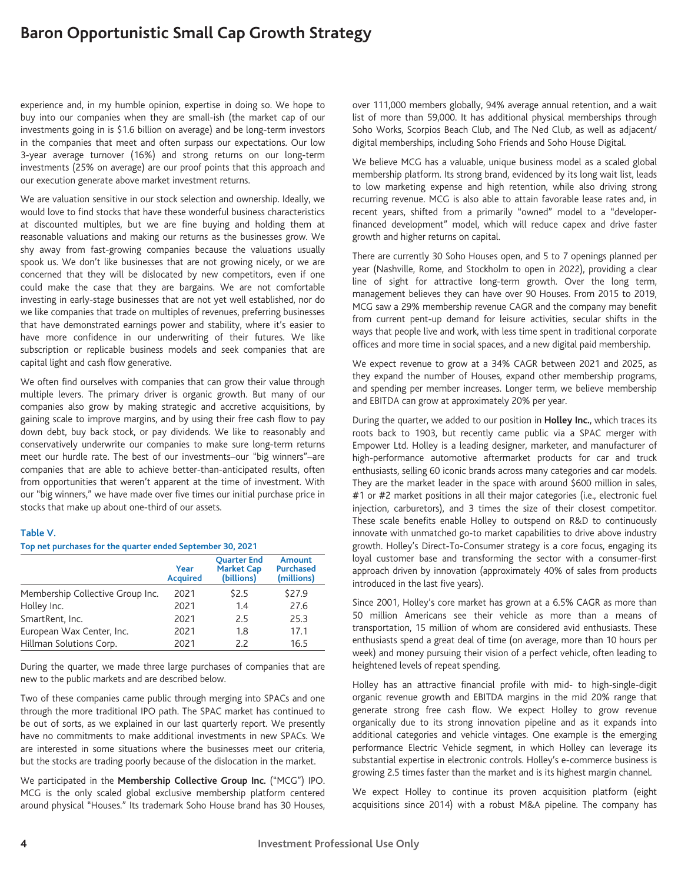experience and, in my humble opinion, expertise in doing so. We hope to buy into our companies when they are small-ish (the market cap of our investments going in is \$1.6 billion on average) and be long-term investors in the companies that meet and often surpass our expectations. Our low 3-year average turnover (16%) and strong returns on our long-term investments (25% on average) are our proof points that this approach and our execution generate above market investment returns.

We are valuation sensitive in our stock selection and ownership. Ideally, we would love to find stocks that have these wonderful business characteristics at discounted multiples, but we are fine buying and holding them at reasonable valuations and making our returns as the businesses grow. We shy away from fast-growing companies because the valuations usually spook us. We don't like businesses that are not growing nicely, or we are concerned that they will be dislocated by new competitors, even if one could make the case that they are bargains. We are not comfortable investing in early-stage businesses that are not yet well established, nor do we like companies that trade on multiples of revenues, preferring businesses that have demonstrated earnings power and stability, where it's easier to have more confidence in our underwriting of their futures. We like subscription or replicable business models and seek companies that are capital light and cash flow generative.

We often find ourselves with companies that can grow their value through multiple levers. The primary driver is organic growth. But many of our companies also grow by making strategic and accretive acquisitions, by gaining scale to improve margins, and by using their free cash flow to pay down debt, buy back stock, or pay dividends. We like to reasonably and conservatively underwrite our companies to make sure long-term returns meet our hurdle rate. The best of our investments–our "big winners"–are companies that are able to achieve better-than-anticipated results, often from opportunities that weren't apparent at the time of investment. With our "big winners," we have made over five times our initial purchase price in stocks that make up about one-third of our assets.

#### **Table V.**

#### **Top net purchases for the quarter ended September 30, 2021**

|                                  | Year<br><b>Acquired</b> | <b>Ouarter End</b><br><b>Market Cap</b><br>(billions) | Amount<br><b>Purchased</b><br>(millions) |
|----------------------------------|-------------------------|-------------------------------------------------------|------------------------------------------|
| Membership Collective Group Inc. | 2021                    | \$2.5                                                 | \$27.9                                   |
| Holley Inc.                      | 2021                    | 1.4                                                   | 27.6                                     |
| SmartRent, Inc.                  | 2021                    | 2.5                                                   | 25.3                                     |
| European Wax Center, Inc.        | 2021                    | 1.8                                                   | 17.1                                     |
| Hillman Solutions Corp.          | 2021                    | 2.2                                                   | 16.5                                     |

During the quarter, we made three large purchases of companies that are new to the public markets and are described below.

Two of these companies came public through merging into SPACs and one through the more traditional IPO path. The SPAC market has continued to be out of sorts, as we explained in our last quarterly report. We presently have no commitments to make additional investments in new SPACs. We are interested in some situations where the businesses meet our criteria, but the stocks are trading poorly because of the dislocation in the market.

We participated in the **Membership Collective Group Inc.** ("MCG") IPO. MCG is the only scaled global exclusive membership platform centered around physical "Houses." Its trademark Soho House brand has 30 Houses,

over 111,000 members globally, 94% average annual retention, and a wait list of more than 59,000. It has additional physical memberships through Soho Works, Scorpios Beach Club, and The Ned Club, as well as adjacent/ digital memberships, including Soho Friends and Soho House Digital.

We believe MCG has a valuable, unique business model as a scaled global membership platform. Its strong brand, evidenced by its long wait list, leads to low marketing expense and high retention, while also driving strong recurring revenue. MCG is also able to attain favorable lease rates and, in recent years, shifted from a primarily "owned" model to a "developerfinanced development" model, which will reduce capex and drive faster growth and higher returns on capital.

There are currently 30 Soho Houses open, and 5 to 7 openings planned per year (Nashville, Rome, and Stockholm to open in 2022), providing a clear line of sight for attractive long-term growth. Over the long term, management believes they can have over 90 Houses. From 2015 to 2019, MCG saw a 29% membership revenue CAGR and the company may benefit from current pent-up demand for leisure activities, secular shifts in the ways that people live and work, with less time spent in traditional corporate offices and more time in social spaces, and a new digital paid membership.

We expect revenue to grow at a 34% CAGR between 2021 and 2025, as they expand the number of Houses, expand other membership programs, and spending per member increases. Longer term, we believe membership and EBITDA can grow at approximately 20% per year.

During the quarter, we added to our position in **Holley Inc.**, which traces its roots back to 1903, but recently came public via a SPAC merger with Empower Ltd. Holley is a leading designer, marketer, and manufacturer of high-performance automotive aftermarket products for car and truck enthusiasts, selling 60 iconic brands across many categories and car models. They are the market leader in the space with around \$600 million in sales, #1 or #2 market positions in all their major categories (i.e., electronic fuel injection, carburetors), and 3 times the size of their closest competitor. These scale benefits enable Holley to outspend on R&D to continuously innovate with unmatched go-to market capabilities to drive above industry growth. Holley's Direct-To-Consumer strategy is a core focus, engaging its loyal customer base and transforming the sector with a consumer-first approach driven by innovation (approximately 40% of sales from products introduced in the last five years).

Since 2001, Holley's core market has grown at a 6.5% CAGR as more than 50 million Americans see their vehicle as more than a means of transportation, 15 million of whom are considered avid enthusiasts. These enthusiasts spend a great deal of time (on average, more than 10 hours per week) and money pursuing their vision of a perfect vehicle, often leading to heightened levels of repeat spending.

Holley has an attractive financial profile with mid- to high-single-digit organic revenue growth and EBITDA margins in the mid 20% range that generate strong free cash flow. We expect Holley to grow revenue organically due to its strong innovation pipeline and as it expands into additional categories and vehicle vintages. One example is the emerging performance Electric Vehicle segment, in which Holley can leverage its substantial expertise in electronic controls. Holley's e-commerce business is growing 2.5 times faster than the market and is its highest margin channel.

We expect Holley to continue its proven acquisition platform (eight acquisitions since 2014) with a robust M&A pipeline. The company has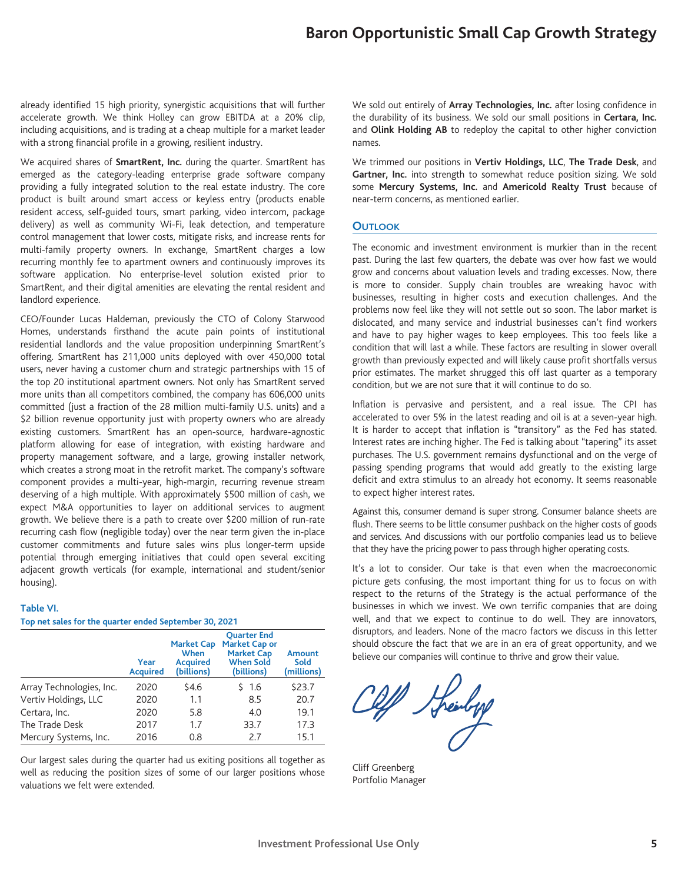already identified 15 high priority, synergistic acquisitions that will further accelerate growth. We think Holley can grow EBITDA at a 20% clip, including acquisitions, and is trading at a cheap multiple for a market leader with a strong financial profile in a growing, resilient industry.

We acquired shares of **SmartRent, Inc.** during the quarter. SmartRent has emerged as the category-leading enterprise grade software company providing a fully integrated solution to the real estate industry. The core product is built around smart access or keyless entry (products enable resident access, self-guided tours, smart parking, video intercom, package delivery) as well as community Wi-Fi, leak detection, and temperature control management that lower costs, mitigate risks, and increase rents for multi-family property owners. In exchange, SmartRent charges a low recurring monthly fee to apartment owners and continuously improves its software application. No enterprise-level solution existed prior to SmartRent, and their digital amenities are elevating the rental resident and landlord experience.

CEO/Founder Lucas Haldeman, previously the CTO of Colony Starwood Homes, understands firsthand the acute pain points of institutional residential landlords and the value proposition underpinning SmartRent's offering. SmartRent has 211,000 units deployed with over 450,000 total users, never having a customer churn and strategic partnerships with 15 of the top 20 institutional apartment owners. Not only has SmartRent served more units than all competitors combined, the company has 606,000 units committed (just a fraction of the 28 million multi-family U.S. units) and a \$2 billion revenue opportunity just with property owners who are already existing customers. SmartRent has an open-source, hardware-agnostic platform allowing for ease of integration, with existing hardware and property management software, and a large, growing installer network, which creates a strong moat in the retrofit market. The company's software component provides a multi-year, high-margin, recurring revenue stream deserving of a high multiple. With approximately \$500 million of cash, we expect M&A opportunities to layer on additional services to augment growth. We believe there is a path to create over \$200 million of run-rate recurring cash flow (negligible today) over the near term given the in-place customer commitments and future sales wins plus longer-term upside potential through emerging initiatives that could open several exciting adjacent growth verticals (for example, international and student/senior housing).

#### **Table VI.**

#### **Top net sales for the quarter ended September 30, 2021**

|                          | Year<br><b>Acquired</b> | <b>Market Cap</b><br>When<br><b>Acquired</b><br>(billions) | <b>Ouarter End</b><br><b>Market Cap or</b><br><b>Market Cap</b><br><b>When Sold</b><br>(billions) | Amount<br>Sold<br>(millions) |
|--------------------------|-------------------------|------------------------------------------------------------|---------------------------------------------------------------------------------------------------|------------------------------|
| Array Technologies, Inc. | 2020                    | \$4.6                                                      | \$ 1.6                                                                                            | \$23.7                       |
| Vertiv Holdings, LLC     | 2020                    | 1.1                                                        | 8.5                                                                                               | 20.7                         |
| Certara, Inc.            | 2020                    | 5.8                                                        | 4.0                                                                                               | 19.1                         |
| The Trade Desk           | 2017                    | 1.7                                                        | 33.7                                                                                              | 17.3                         |
| Mercury Systems, Inc.    | 2016                    | 0.8                                                        | 7.7                                                                                               | 15.1                         |

Our largest sales during the quarter had us exiting positions all together as well as reducing the position sizes of some of our larger positions whose valuations we felt were extended.

We sold out entirely of **Array Technologies, Inc.** after losing confidence in the durability of its business. We sold our small positions in **Certara, Inc.** and **Olink Holding AB** to redeploy the capital to other higher conviction names.

We trimmed our positions in **Vertiv Holdings, LLC**, **The Trade Desk**, and Gartner, Inc. into strength to somewhat reduce position sizing. We sold some **Mercury Systems, Inc.** and **Americold Realty Trust** because of near-term concerns, as mentioned earlier.

#### **OUTLOOK**

The economic and investment environment is murkier than in the recent past. During the last few quarters, the debate was over how fast we would grow and concerns about valuation levels and trading excesses. Now, there is more to consider. Supply chain troubles are wreaking havoc with businesses, resulting in higher costs and execution challenges. And the problems now feel like they will not settle out so soon. The labor market is dislocated, and many service and industrial businesses can't find workers and have to pay higher wages to keep employees. This too feels like a condition that will last a while. These factors are resulting in slower overall growth than previously expected and will likely cause profit shortfalls versus prior estimates. The market shrugged this off last quarter as a temporary condition, but we are not sure that it will continue to do so.

Inflation is pervasive and persistent, and a real issue. The CPI has accelerated to over 5% in the latest reading and oil is at a seven-year high. It is harder to accept that inflation is "transitory" as the Fed has stated. Interest rates are inching higher. The Fed is talking about "tapering" its asset purchases. The U.S. government remains dysfunctional and on the verge of passing spending programs that would add greatly to the existing large deficit and extra stimulus to an already hot economy. It seems reasonable to expect higher interest rates.

Against this, consumer demand is super strong. Consumer balance sheets are flush. There seems to be little consumer pushback on the higher costs of goods and services. And discussions with our portfolio companies lead us to believe that they have the pricing power to pass through higher operating costs.

It's a lot to consider. Our take is that even when the macroeconomic picture gets confusing, the most important thing for us to focus on with respect to the returns of the Strategy is the actual performance of the businesses in which we invest. We own terrific companies that are doing well, and that we expect to continue to do well. They are innovators, disruptors, and leaders. None of the macro factors we discuss in this letter should obscure the fact that we are in an era of great opportunity, and we believe our companies will continue to thrive and grow their value.

Off Heinbyg

Cliff Greenberg Portfolio Manager